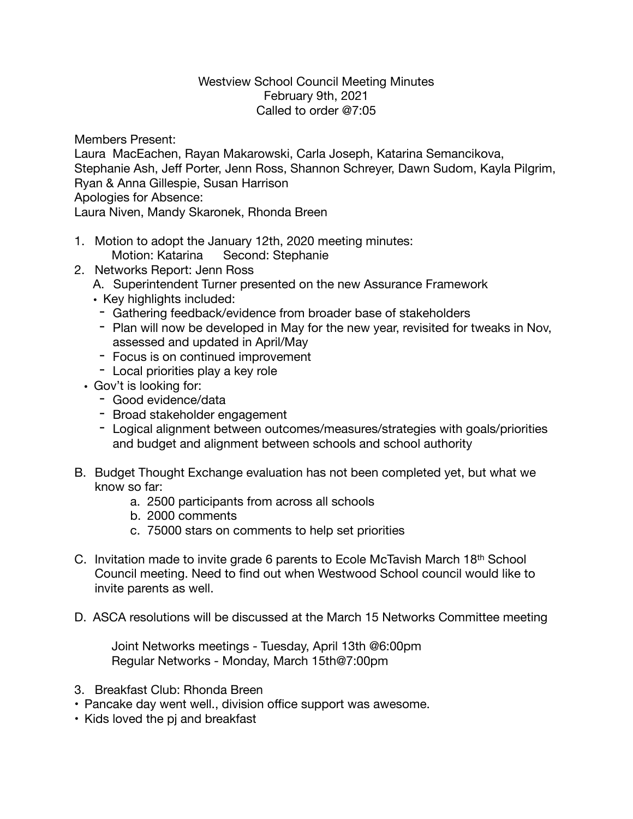## Westview School Council Meeting Minutes February 9th, 2021 Called to order @7:05

Members Present:

Laura MacEachen, Rayan Makarowski, Carla Joseph, Katarina Semancikova, Stephanie Ash, Jeff Porter, Jenn Ross, Shannon Schreyer, Dawn Sudom, Kayla Pilgrim, Ryan & Anna Gillespie, Susan Harrison Apologies for Absence:

Laura Niven, Mandy Skaronek, Rhonda Breen

- 1. Motion to adopt the January 12th, 2020 meeting minutes: Motion: Katarina Second: Stephanie
- 2. Networks Report: Jenn Ross
	- A. Superintendent Turner presented on the new Assurance Framework
	- Key highlights included:
	- Gathering feedback/evidence from broader base of stakeholders
	- Plan will now be developed in May for the new year, revisited for tweaks in Nov, assessed and updated in April/May
	- Focus is on continued improvement
	- Local priorities play a key role
	- Gov't is looking for:
		- Good evidence/data
		- Broad stakeholder engagement
		- Logical alignment between outcomes/measures/strategies with goals/priorities and budget and alignment between schools and school authority
- B. Budget Thought Exchange evaluation has not been completed yet, but what we know so far:
	- a. 2500 participants from across all schools
	- b. 2000 comments
	- c. 75000 stars on comments to help set priorities
- C. Invitation made to invite grade 6 parents to Ecole McTavish March 18th School Council meeting. Need to find out when Westwood School council would like to invite parents as well.
- D. ASCA resolutions will be discussed at the March 15 Networks Committee meeting

Joint Networks meetings - Tuesday, April 13th @6:00pm Regular Networks - Monday, March 15th@7:00pm

- 3. Breakfast Club: Rhonda Breen
- Pancake day went well., division office support was awesome.
- Kids loved the pj and breakfast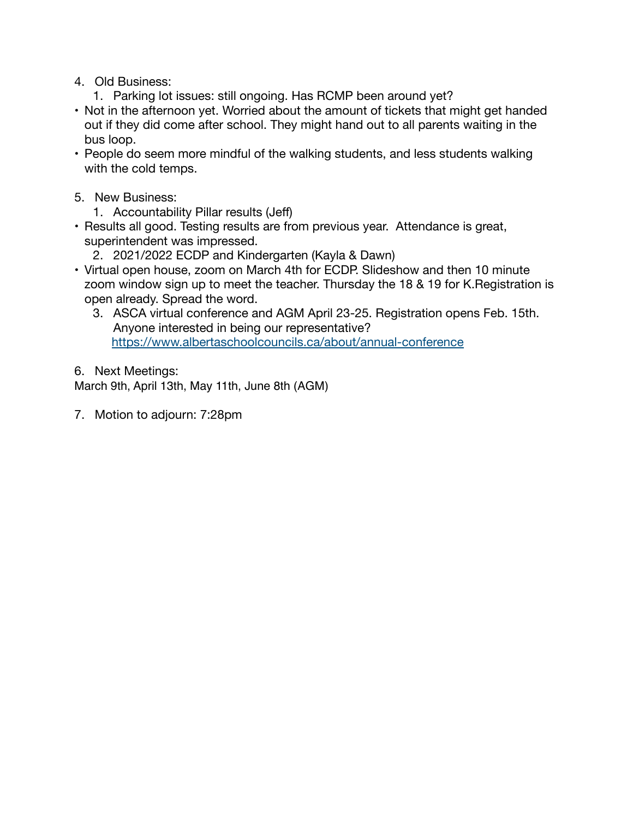- 4. Old Business:
	- 1. Parking lot issues: still ongoing. Has RCMP been around yet?
- Not in the afternoon yet. Worried about the amount of tickets that might get handed out if they did come after school. They might hand out to all parents waiting in the bus loop.
- People do seem more mindful of the walking students, and less students walking with the cold temps.
- 5. New Business:
	- 1. Accountability Pillar results (Jeff)
- Results all good. Testing results are from previous year. Attendance is great, superintendent was impressed.
	- 2. 2021/2022 ECDP and Kindergarten (Kayla & Dawn)
- Virtual open house, zoom on March 4th for ECDP. Slideshow and then 10 minute zoom window sign up to meet the teacher. Thursday the 18 & 19 for K.Registration is open already. Spread the word.
	- 3. ASCA virtual conference and AGM April 23-25. Registration opens Feb. 15th. Anyone interested in being our representative? <https://www.albertaschoolcouncils.ca/about/annual-conference>
- 6. Next Meetings:

March 9th, April 13th, May 11th, June 8th (AGM)

7. Motion to adjourn: 7:28pm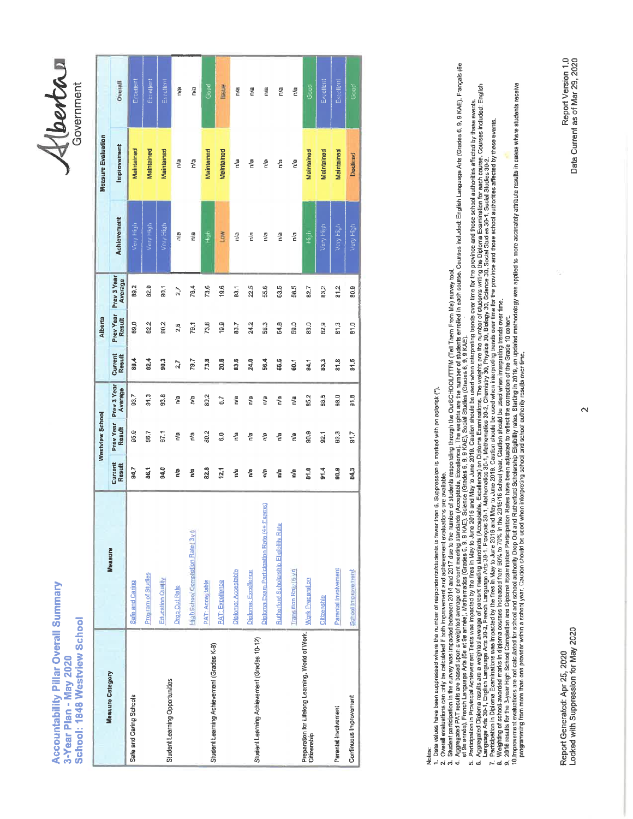## **Accountability Pillar Overall Summary** School: 1848 Westview School 3-Year Plan - May 2020

Alberton

|                                                                                   |                                                |                          | Westview School     |                        |                   | Alberta                    |                        |             | <b>Measure Evaluation</b> |           |
|-----------------------------------------------------------------------------------|------------------------------------------------|--------------------------|---------------------|------------------------|-------------------|----------------------------|------------------------|-------------|---------------------------|-----------|
| <b>Measure Category</b>                                                           | <b>Measure</b>                                 | Current<br><b>Result</b> | Prev Year<br>Result | Prev 3 Year<br>Average | Current<br>Result | Prev Year<br><b>Result</b> | Prev 3 Year<br>Average | Achlevement | Improvement               | Overall   |
| Safe and Caring Schools                                                           | Safe and Caring                                | 94.7                     | 95.9                | 93.7                   | 89.4              | 89,0                       | 89.2                   | Very High   | Maintained                | Evcetlent |
|                                                                                   | Program of Studies                             | 86.1                     | 86,7                | $\frac{3}{5}$          | 82.4              | 02.2                       | 92.0                   | Very High   | Malntained                | Excellent |
| Student Learning Opportunities                                                    | Education Quality                              | 94.0                     | 1.76                | 93.8                   | 90,3              | 90.2                       | 90,1                   | Very High   | Maintained                | Excellent |
|                                                                                   | Drop Out Rate                                  | ĝ                        | n/a                 | n/a                    | 2.7               | 2.6                        | 2,7                    | n/a         | n/a                       | n/a       |
|                                                                                   | High School Completion Rate (3 yr)             | n/a                      | n <sup>a</sup>      | n/a                    | 79.7              | 79.1                       | 78.4                   | n/a         | n/a                       | n/a       |
| Student Learning Achievement (Grades K-9)                                         | PAT: Acceptable                                | 82.8                     | 80.2                | 80.2                   | 73.8              | 73,6                       | 73.6                   | fi<br>fi    | Maintamed                 | Good      |
|                                                                                   | <b>PAT: Excellence</b>                         | 12.1                     | G.O                 | 6.7                    | 20.6              | 19.9                       | 19.6                   | LmN         | Maintained                | lasue     |
|                                                                                   | <b>Diploma: Acceptable</b>                     | n'a                      | r/a                 | n/a                    | 83.6              | 83.7                       | 83.1                   | n/a         | n/a                       | n/a       |
|                                                                                   | Diploma: Excellence                            | n <sup>ia</sup>          | n/a                 | n/a                    | 24.0              | 24.2                       | 22.5                   | n/a         | n/a                       | n/a       |
| Student Learning Achievement (Grades 10-12)                                       | Diploma Exam Participation Rate (4+ Exams)     | ត្តិ                     | n/a                 | P,                     | 56.4              | 56.3                       | 55.6                   | n/a         | n/a                       | n/a       |
|                                                                                   | <b>Rutherford Scholarship Eligibility Rate</b> | n/a                      | n/a                 | n <sup>la</sup>        | 66.6              | 64.8                       | 63.5                   | n/a         | n/a                       | n/a       |
|                                                                                   | Transition Rate (6 yr)                         | ាំ                       | n'a                 | ្ទឹ                    | 60.1              | 59.0                       | 58.5                   | n/a         | 웉                         | n/a       |
| Preparation for Lifelong Learning, World of Work, Nork Preparation<br>Citizenship |                                                | 81.0                     | 90.9                | 85,2                   | 34.1              | 33.0                       | 82.7                   | fligh       | Maintained                | Geod      |
|                                                                                   | Citizenship                                    | 91.4                     | <b>92.1</b>         | 88.5                   | 3.3               | 82.9                       | 83,2                   | Very High   | Maintained                | Excellent |
| Parental Involvement                                                              | Parental Involvement                           | 90,9                     | 93.3                | 88.0                   | 81.8              | 81.3                       | 81.2                   | Very High   | Maintained                | Excellent |
| Continuous Improvement                                                            | School Improvement                             | 843                      | 1,7                 | 91.8                   | 81.5              | 51.0                       | 80,8                   | Very High   | Declined                  | Good      |
|                                                                                   |                                                |                          |                     |                        |                   |                            |                        |             |                           |           |

Notes:

n, Data values been suppersed where the number of respondents backled than 6. Suppression is metable with an asterist (").<br>2. Overall eventuations in the suppose of response than 5. Suppression is metable than the metable

7. Particle active in Digition and the substituted by the mexic was become to the control of the digition should be used when insurance ware warrely and the applied to more activable in cases when in provide the computati

Report Generated: Apr 25, 2020<br>Locked with Suppression for May 2020

Report Version 1,0<br>Data Current as of Mar 29, 2020

 $\overline{\mathbf{C}}$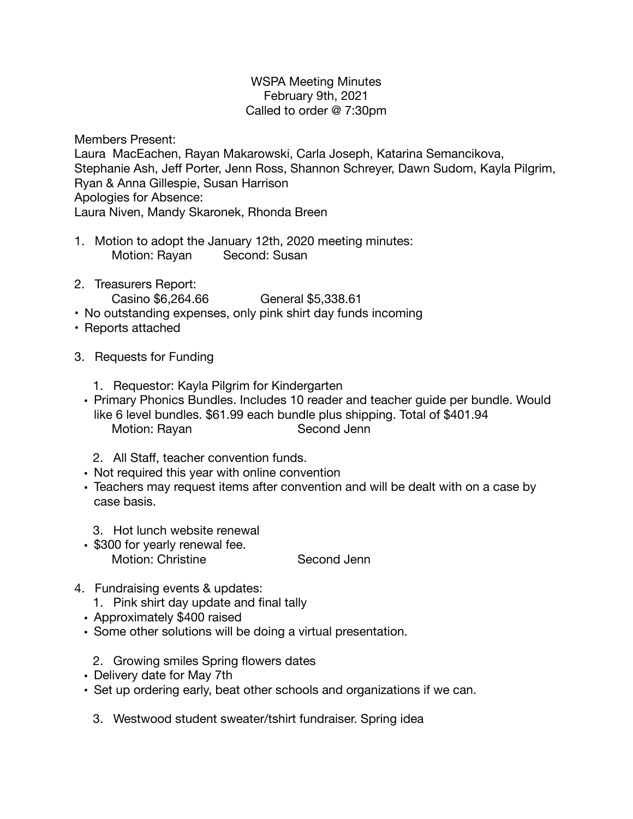## WSPA Meeting Minutes February 9th, 2021 Called to order @ 7:30pm

Members Present:

Laura MacEachen, Rayan Makarowski, Carla Joseph, Katarina Semancikova, Stephanie Ash, Jeff Porter, Jenn Ross, Shannon Schreyer, Dawn Sudom, Kayla Pilgrim, Ryan & Anna Gillespie, Susan Harrison Apologies for Absence: Laura Niven, Mandy Skaronek, Rhonda Breen

- 1. Motion to adopt the January 12th, 2020 meeting minutes: Motion: Rayan Second: Susan
- 2. Treasurers Report:

Casino \$6,264.66 **General \$5,338.61** 

- No outstanding expenses, only pink shirt day funds incoming
- Reports attached
- 3. Requests for Funding
	- 1. Requestor: Kayla Pilgrim for Kindergarten
	- Primary Phonics Bundles. Includes 10 reader and teacher guide per bundle. Would like 6 level bundles. \$61.99 each bundle plus shipping. Total of \$401.94 Motion: Rayan **Brand Second Jenn** 
		- 2. All Staff, teacher convention funds.
	- Not required this year with online convention
	- Teachers may request items after convention and will be dealt with on a case by case basis.
		- 3. Hot lunch website renewal
	- \$300 for yearly renewal fee. Motion: Christine **Second Jenn**
- 4. Fundraising events & updates:
	- 1. Pink shirt day update and final tally
	- Approximately \$400 raised
	- Some other solutions will be doing a virtual presentation.
		- 2. Growing smiles Spring flowers dates
	- Delivery date for May 7th
	- Set up ordering early, beat other schools and organizations if we can.
		- 3. Westwood student sweater/tshirt fundraiser. Spring idea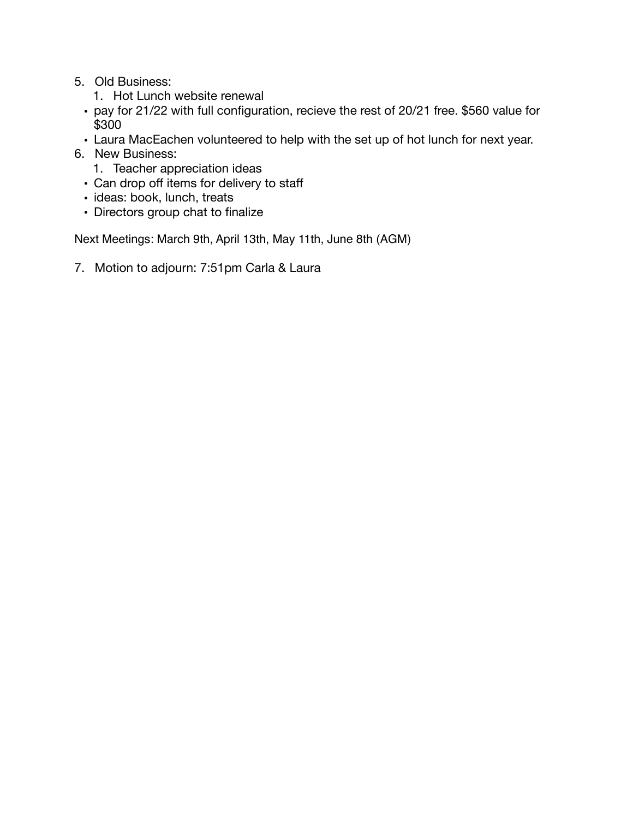- 5. Old Business:
	- 1. Hot Lunch website renewal
	- pay for 21/22 with full configuration, recieve the rest of 20/21 free. \$560 value for \$300
	- Laura MacEachen volunteered to help with the set up of hot lunch for next year.
- 6. New Business:
	- 1. Teacher appreciation ideas
	- Can drop off items for delivery to staff
	- ideas: book, lunch, treats
	- Directors group chat to finalize

Next Meetings: March 9th, April 13th, May 11th, June 8th (AGM)

7. Motion to adjourn: 7:51pm Carla & Laura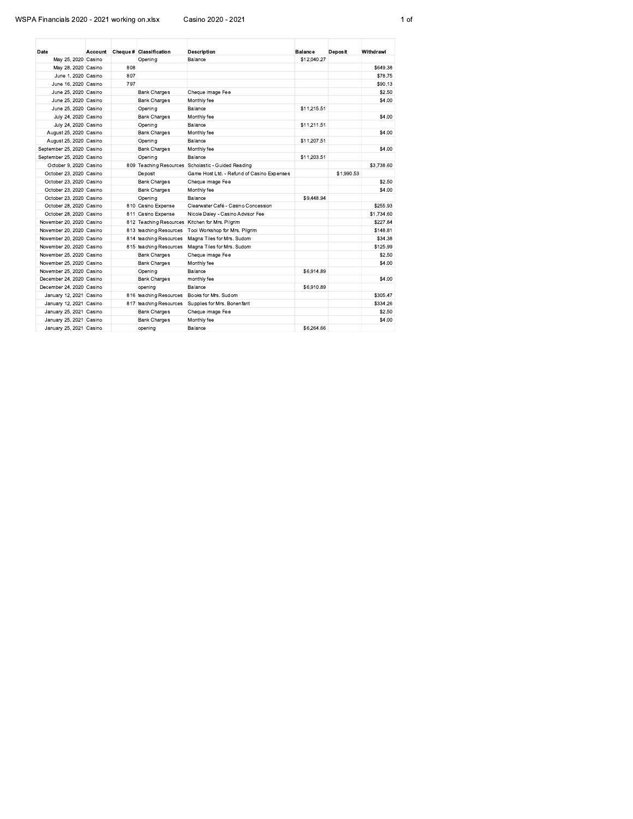## WSPA Financials 2020 - 2021 working on.xlsx

Casino 2020 - 2021

| Date                      |     | Account Cheque # Classification | <b>Description</b>                                 | <b>Balance</b> | <b>Deposit</b> | Withdrawl  |
|---------------------------|-----|---------------------------------|----------------------------------------------------|----------------|----------------|------------|
| May 25, 2020 Casino       |     | Opening                         | Balance                                            | \$12.040.27    |                |            |
| May 28, 2020 Casino       | 808 |                                 |                                                    |                |                | \$649.38   |
| June 1, 2020 Casino       | 807 |                                 |                                                    |                |                | \$78.75    |
| June 16, 2020 Casino      | 797 |                                 |                                                    |                |                | \$90.13    |
| June 25, 2020 Casino      |     | <b>Bank Charges</b>             | Cheque image Fee                                   |                |                | \$2.50     |
| June 25, 2020 Casino      |     | <b>Bank Charges</b>             | Monthly fee                                        |                |                | \$4.00     |
| June 25, 2020 Casino      |     | Opening                         | Balance                                            | \$11,215.51    |                |            |
| July 24, 2020 Casino      |     | <b>Bank Charges</b>             | Monthly fee                                        |                |                | \$4.00     |
| July 24, 2020 Casino      |     | Opening                         | Balance                                            | \$11.211.51    |                |            |
| August 25, 2020 Casino    |     | <b>Bank Charges</b>             | Monthly fee                                        |                |                | \$4.00     |
| August 25, 2020 Casino    |     | Opening                         | Balance                                            | \$11,207.51    |                |            |
| September 25, 2020 Casino |     | <b>Bank Charges</b>             | Monthly fee                                        |                |                | \$4.00     |
| September 25, 2020 Casino |     | Opening                         | Balance                                            | \$11,203.51    |                |            |
| October 9, 2020 Casino    |     |                                 | 809 Teaching Resources Scholastic - Guided Reading |                |                | \$3,738.60 |
| October 23, 2020 Casino   |     | Deposit                         | Game Host Ltd. - Refund of Casino Expenses         |                | \$1,990.53     |            |
| October 23, 2020 Casino   |     | <b>Bank Charges</b>             | Cheque image Fee                                   |                |                | \$2.50     |
| October 23, 2020 Casino   |     | <b>Bank Charges</b>             | Monthly fee                                        |                |                | \$4.00     |
| October 23, 2020 Casino   |     | Opening                         | Balance                                            | \$9,448.94     |                |            |
| October 28, 2020 Casino   |     | 810 Casino Expense              | Clearwater Café - Casino Concession                |                |                | \$255.93   |
| October 28, 2020 Casino   |     | 811 Casino Expense              | Nicole Daley - Casino Advisor Fee                  |                |                | \$1,734.60 |
| November 20, 2020 Casino  |     | 812 Teaching Resources          | Kitchen for Mrs. Pilgrim                           |                |                | \$227.84   |
| November 20, 2020 Casino  |     | 813 teaching Resources          | Tool Workshop for Mrs. Pilgrim                     |                |                | \$148.81   |
| November 20, 2020 Casino  |     | 814 teaching Resources          | Magna Tiles for Mrs. Sudom                         |                |                | \$34.38    |
| November 20, 2020 Casino  |     | 815 teaching Resources          | Magna Tiles for Mrs. Sudom                         |                |                | \$125.99   |
| November 25, 2020 Casino  |     | <b>Bank Charges</b>             | Cheque image Fee                                   |                |                | \$2.50     |
| November 25, 2020 Casino  |     | <b>Bank Charges</b>             | Monthly fee                                        |                |                | \$4.00     |
| November 25, 2020 Casino  |     | Opening                         | Balance                                            | \$6.914.89     |                |            |
| December 24, 2020 Casino  |     | <b>Bank Charges</b>             | monthly fee                                        |                |                | \$4.00     |
| December 24, 2020 Casino  |     | opening                         | Balance                                            | \$6,910.89     |                |            |
| January 12, 2021 Casino   |     | 816 teaching Resources          | Books for Mrs. Sudom                               |                |                | \$305.47   |
| January 12, 2021 Casino   |     | 817 teaching Resources          | Supplies for Mrs. Bonenfant                        |                |                | \$334.26   |
| January 25, 2021 Casino   |     | <b>Bank Charges</b>             | Cheque image Fee                                   |                |                | \$2.50     |
| January 25, 2021 Casino   |     | <b>Bank Charges</b>             | Monthly fee                                        |                |                | \$4.00     |
| January 25, 2021 Casino   |     | opening                         | Balance                                            | \$6,264.66     |                |            |